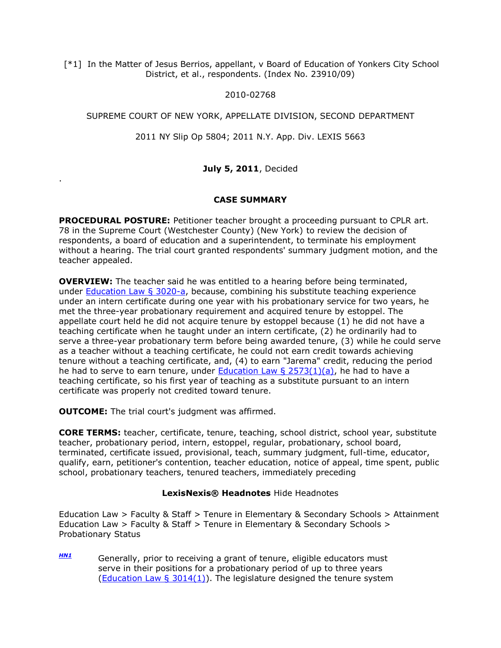[\*1] In the Matter of Jesus Berrios, appellant, v Board of Education of Yonkers City School District, et al., respondents. (Index No. 23910/09)

## 2010-02768

## SUPREME COURT OF NEW YORK, APPELLATE DIVISION, SECOND DEPARTMENT

2011 NY Slip Op 5804; 2011 N.Y. App. Div. LEXIS 5663

# **July 5, 2011**, Decided

## **CASE SUMMARY**

**PROCEDURAL POSTURE:** Petitioner teacher brought a proceeding pursuant to CPLR art. 78 in the Supreme Court (Westchester County) (New York) to review the decision of respondents, a board of education and a superintendent, to terminate his employment without a hearing. The trial court granted respondents' summary judgment motion, and the teacher appealed.

**OVERVIEW:** The teacher said he was entitled to a hearing before being terminated, under [Education Law § 3020-a,](http://www.lexisnexis.com.ezproxy.strose.edu/lnacui2api/mungo/lexseestat.do?bct=A&risb=21_T12329555026&homeCsi=9092&A=0.5820858718051269&urlEnc=ISO-8859-1&&citeString=N.Y.%20EDUC.%20LAW%203020-A&countryCode=USA) because, combining his substitute teaching experience under an intern certificate during one year with his probationary service for two years, he met the three-year probationary requirement and acquired tenure by estoppel. The appellate court held he did not acquire tenure by estoppel because (1) he did not have a teaching certificate when he taught under an intern certificate, (2) he ordinarily had to serve a three-year probationary term before being awarded tenure, (3) while he could serve as a teacher without a teaching certificate, he could not earn credit towards achieving tenure without a teaching certificate, and, (4) to earn "Jarema" credit, reducing the period he had to serve to earn tenure, under Education Law  $\S$  2573(1)(a), he had to have a teaching certificate, so his first year of teaching as a substitute pursuant to an intern certificate was properly not credited toward tenure.

**OUTCOME:** The trial court's judgment was affirmed.

.

**CORE TERMS:** teacher, certificate, tenure, teaching, school district, school year, substitute teacher, probationary period, intern, estoppel, regular, probationary, school board, terminated, certificate issued, provisional, teach, summary judgment, full-time, educator, qualify, earn, petitioner's contention, teacher education, notice of appeal, time spent, public school, probationary teachers, tenured teachers, immediately preceding

# **LexisNexis® Headnotes** Hide Headnotes

Education Law > Faculty & Staff > Tenure in Elementary & Secondary Schools > Attainment Education Law > Faculty & Staff > Tenure in Elementary & Secondary Schools > Probationary Status

*[HN1](http://www.lexisnexis.com.ezproxy.strose.edu/lnacui2api/frame.do?reloadEntirePage=true&rand=1310415248469&returnToKey=20_T12329573738&parent=docview&target=results_DocumentContent&tokenKey=rsh-20.832219.9355148397#clsccl1)* Generally, prior to receiving a grant of tenure, eligible educators must serve in their positions for a probationary period of up to three years (Education Law  $\S$  3014(1)). The legislature designed the tenure system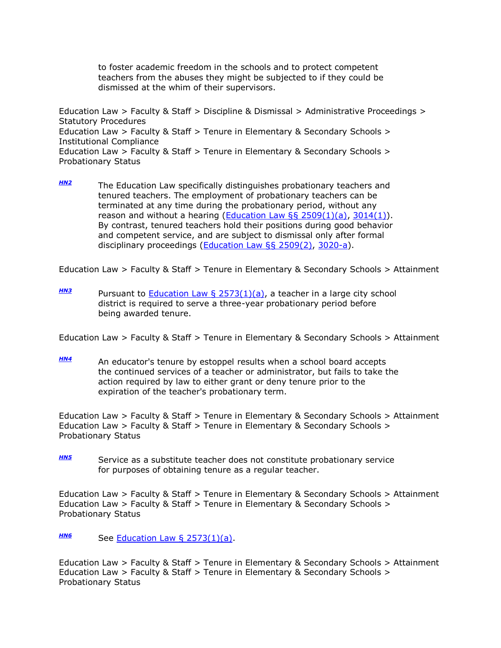to foster academic freedom in the schools and to protect competent teachers from the abuses they might be subjected to if they could be dismissed at the whim of their supervisors.

Education Law > Faculty & Staff > Discipline & Dismissal > Administrative Proceedings > Statutory Procedures Education Law > Faculty & Staff > Tenure in Elementary & Secondary Schools > Institutional Compliance Education Law > Faculty & Staff > Tenure in Elementary & Secondary Schools > Probationary Status

*[HN2](http://www.lexisnexis.com.ezproxy.strose.edu/lnacui2api/frame.do?reloadEntirePage=true&rand=1310415248469&returnToKey=20_T12329573738&parent=docview&target=results_DocumentContent&tokenKey=rsh-20.832219.9355148397#clsccl2)* The Education Law specifically distinguishes probationary teachers and tenured teachers. The employment of probationary teachers can be terminated at any time during the probationary period, without any reason and without a hearing (**Education Law §§ 2509(1)(a)**, 3014(1). By contrast, tenured teachers hold their positions during good behavior and competent service, and are subject to dismissal only after formal disciplinary proceedings [\(Education Law §§ 2509\(2\),](http://www.lexisnexis.com.ezproxy.strose.edu/lnacui2api/mungo/lexseestat.do?bct=A&risb=21_T12329555026&homeCsi=9092&A=0.5820858718051269&urlEnc=ISO-8859-1&&citeString=N.Y.%20EDUC.%20LAW%202509&countryCode=USA) [3020-a\)](http://www.lexisnexis.com.ezproxy.strose.edu/lnacui2api/mungo/lexseestat.do?bct=A&risb=21_T12329555026&homeCsi=9092&A=0.5820858718051269&urlEnc=ISO-8859-1&&citeString=N.Y.%20EDUC.%20LAW%203020-A&countryCode=USA).

Education Law > Faculty & Staff > Tenure in Elementary & Secondary Schools > Attainment

*[HN3](http://www.lexisnexis.com.ezproxy.strose.edu/lnacui2api/frame.do?reloadEntirePage=true&rand=1310415248469&returnToKey=20_T12329573738&parent=docview&target=results_DocumentContent&tokenKey=rsh-20.832219.9355148397#clsccl3)* Pursuant to [Education Law § 2573\(1\)\(a\),](http://www.lexisnexis.com.ezproxy.strose.edu/lnacui2api/mungo/lexseestat.do?bct=A&risb=21_T12329555026&homeCsi=9092&A=0.5820858718051269&urlEnc=ISO-8859-1&&citeString=N.Y.%20EDUC.%20LAW%202573&countryCode=USA) a teacher in a large city school district is required to serve a three-year probationary period before being awarded tenure.

Education Law > Faculty & Staff > Tenure in Elementary & Secondary Schools > Attainment

*[HN4](http://www.lexisnexis.com.ezproxy.strose.edu/lnacui2api/frame.do?reloadEntirePage=true&rand=1310415248469&returnToKey=20_T12329573738&parent=docview&target=results_DocumentContent&tokenKey=rsh-20.832219.9355148397#clsccl4)* An educator's tenure by estoppel results when a school board accepts the continued services of a teacher or administrator, but fails to take the action required by law to either grant or deny tenure prior to the expiration of the teacher's probationary term.

Education Law > Faculty & Staff > Tenure in Elementary & Secondary Schools > Attainment Education Law > Faculty & Staff > Tenure in Elementary & Secondary Schools > Probationary Status

*[HN5](http://www.lexisnexis.com.ezproxy.strose.edu/lnacui2api/frame.do?reloadEntirePage=true&rand=1310415248469&returnToKey=20_T12329573738&parent=docview&target=results_DocumentContent&tokenKey=rsh-20.832219.9355148397#clsccl5)* Service as a substitute teacher does not constitute probationary service for purposes of obtaining tenure as a regular teacher.

Education Law > Faculty & Staff > Tenure in Elementary & Secondary Schools > Attainment Education Law > Faculty & Staff > Tenure in Elementary & Secondary Schools > Probationary Status

*[HN6](http://www.lexisnexis.com.ezproxy.strose.edu/lnacui2api/frame.do?reloadEntirePage=true&rand=1310415248469&returnToKey=20_T12329573738&parent=docview&target=results_DocumentContent&tokenKey=rsh-20.832219.9355148397#clsccl6)* See [Education Law § 2573\(1\)\(a\).](http://www.lexisnexis.com.ezproxy.strose.edu/lnacui2api/mungo/lexseestat.do?bct=A&risb=21_T12329555026&homeCsi=9092&A=0.5820858718051269&urlEnc=ISO-8859-1&&citeString=N.Y.%20EDUC.%20LAW%202573&countryCode=USA)

Education Law > Faculty & Staff > Tenure in Elementary & Secondary Schools > Attainment Education Law > Faculty & Staff > Tenure in Elementary & Secondary Schools > Probationary Status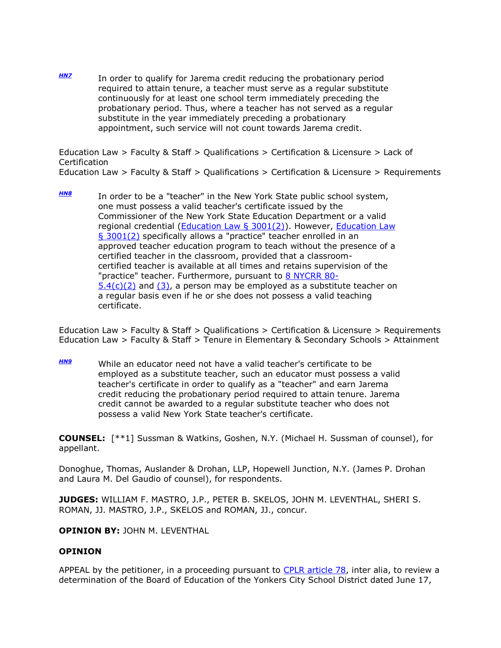*[HN7](http://www.lexisnexis.com.ezproxy.strose.edu/lnacui2api/frame.do?reloadEntirePage=true&rand=1310415248469&returnToKey=20_T12329573738&parent=docview&target=results_DocumentContent&tokenKey=rsh-20.832219.9355148397#clsccl7)* In order to qualify for Jarema credit reducing the probationary period required to attain tenure, a teacher must serve as a regular substitute continuously for at least one school term immediately preceding the probationary period. Thus, where a teacher has not served as a regular substitute in the year immediately preceding a probationary appointment, such service will not count towards Jarema credit.

Education Law > Faculty & Staff > Qualifications > Certification & Licensure > Lack of **Certification** Education Law > Faculty & Staff > Qualifications > Certification & Licensure > Requirements

*[HN8](http://www.lexisnexis.com.ezproxy.strose.edu/lnacui2api/frame.do?reloadEntirePage=true&rand=1310415248469&returnToKey=20_T12329573738&parent=docview&target=results_DocumentContent&tokenKey=rsh-20.832219.9355148397#clsccl8)* In order to be a "teacher" in the New York State public school system, one must possess a valid teacher's certificate issued by the Commissioner of the New York State Education Department or a valid regional credential [\(Education Law § 3001\(2\)\)](http://www.lexisnexis.com.ezproxy.strose.edu/lnacui2api/mungo/lexseestat.do?bct=A&risb=21_T12329555026&homeCsi=9092&A=0.5820858718051269&urlEnc=ISO-8859-1&&citeString=N.Y.%20EDUC.%20LAW%203001&countryCode=USA). However, [Education Law](http://www.lexisnexis.com.ezproxy.strose.edu/lnacui2api/mungo/lexseestat.do?bct=A&risb=21_T12329555026&homeCsi=9092&A=0.5820858718051269&urlEnc=ISO-8859-1&&citeString=N.Y.%20EDUC.%20LAW%203001&countryCode=USA)  [§ 3001\(2\)](http://www.lexisnexis.com.ezproxy.strose.edu/lnacui2api/mungo/lexseestat.do?bct=A&risb=21_T12329555026&homeCsi=9092&A=0.5820858718051269&urlEnc=ISO-8859-1&&citeString=N.Y.%20EDUC.%20LAW%203001&countryCode=USA) specifically allows a "practice" teacher enrolled in an approved teacher education program to teach without the presence of a certified teacher in the classroom, provided that a classroomcertified teacher is available at all times and retains supervision of the "practice" teacher. Furthermore, pursuant to [8 NYCRR 80-](http://www.lexisnexis.com.ezproxy.strose.edu/lnacui2api/mungo/lexseestat.do?bct=A&risb=21_T12329555026&homeCsi=9092&A=0.5820858718051269&urlEnc=ISO-8859-1&&citeString=8%20N.Y.%20COMP.%20CODES%20R.%20REGS.%2080-5.4&countryCode=USA)  $5.4(c)(2)$  and  $(3)$ , a person may be employed as a substitute teacher on a regular basis even if he or she does not possess a valid teaching certificate.

Education Law > Faculty & Staff > Qualifications > Certification & Licensure > Requirements Education Law > Faculty & Staff > Tenure in Elementary & Secondary Schools > Attainment

*[HN9](http://www.lexisnexis.com.ezproxy.strose.edu/lnacui2api/frame.do?reloadEntirePage=true&rand=1310415248469&returnToKey=20_T12329573738&parent=docview&target=results_DocumentContent&tokenKey=rsh-20.832219.9355148397#clsccl9)* While an educator need not have a valid teacher's certificate to be employed as a substitute teacher, such an educator must possess a valid teacher's certificate in order to qualify as a "teacher" and earn Jarema credit reducing the probationary period required to attain tenure. Jarema credit cannot be awarded to a regular substitute teacher who does not possess a valid New York State teacher's certificate.

**COUNSEL:** [\*\*1] Sussman & Watkins, Goshen, N.Y. (Michael H. Sussman of counsel), for appellant.

Donoghue, Thomas, Auslander & Drohan, LLP, Hopewell Junction, N.Y. (James P. Drohan and Laura M. Del Gaudio of counsel), for respondents.

**JUDGES:** WILLIAM F. MASTRO, J.P., PETER B. SKELOS, JOHN M. LEVENTHAL, SHERI S. ROMAN, JJ. MASTRO, J.P., SKELOS and ROMAN, JJ., concur.

## **OPINION BY:** JOHN M. LEVENTHAL

## **OPINION**

APPEAL by the petitioner, in a proceeding pursuant to [CPLR article 78,](http://www.lexisnexis.com.ezproxy.strose.edu/lnacui2api/mungo/lexseestat.do?bct=A&risb=21_T12329555026&homeCsi=9092&A=0.5820858718051269&urlEnc=ISO-8859-1&&citeString=N.Y.%20C.P.L.R.%207801&countryCode=USA) inter alia, to review a determination of the Board of Education of the Yonkers City School District dated June 17,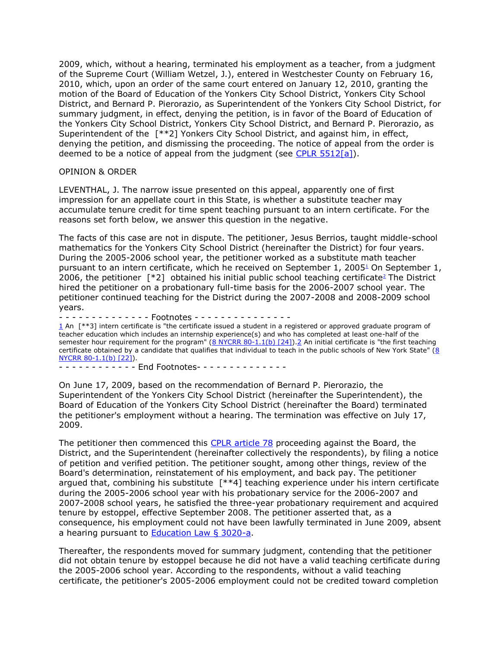2009, which, without a hearing, terminated his employment as a teacher, from a judgment of the Supreme Court (William Wetzel, J.), entered in Westchester County on February 16, 2010, which, upon an order of the same court entered on January 12, 2010, granting the motion of the Board of Education of the Yonkers City School District, Yonkers City School District, and Bernard P. Pierorazio, as Superintendent of the Yonkers City School District, for summary judgment, in effect, denying the petition, is in favor of the Board of Education of the Yonkers City School District, Yonkers City School District, and Bernard P. Pierorazio, as Superintendent of the [\*\*2] Yonkers City School District, and against him, in effect, denying the petition, and dismissing the proceeding. The notice of appeal from the order is deemed to be a notice of appeal from the judgment (see [CPLR 5512\[a\]\)](http://www.lexisnexis.com.ezproxy.strose.edu/lnacui2api/mungo/lexseestat.do?bct=A&risb=21_T12329555026&homeCsi=9092&A=0.5820858718051269&urlEnc=ISO-8859-1&&citeString=N.Y.%20C.P.L.R.%205512&countryCode=USA).

### OPINION & ORDER

LEVENTHAL, J. The narrow issue presented on this appeal, apparently one of first impression for an appellate court in this State, is whether a substitute teacher may accumulate tenure credit for time spent teaching pursuant to an intern certificate. For the reasons set forth below, we answer this question in the negative.

The facts of this case are not in dispute. The petitioner, Jesus Berrios, taught middle-school mathematics for the Yonkers City School District (hereinafter the District) for four years. During the 2005-2006 school year, the petitioner worked as a substitute math teacher pursuant to an intern certificate, which he received on September 1, 200[5](http://www.lexisnexis.com.ezproxy.strose.edu/lnacui2api/frame.do?reloadEntirePage=true&rand=1310415248469&returnToKey=20_T12329573738&parent=docview&target=results_DocumentContent&tokenKey=rsh-20.832219.9355148397#fnote1) $<sup>1</sup>$  On September 1,</sup> 2006, th[e](http://www.lexisnexis.com.ezproxy.strose.edu/lnacui2api/frame.do?reloadEntirePage=true&rand=1310415248469&returnToKey=20_T12329573738&parent=docview&target=results_DocumentContent&tokenKey=rsh-20.832219.9355148397#fnote2) petitioner  $\lceil *2 \rceil$  obtained his initial public school teaching certificate<sup>2</sup> The District hired the petitioner on a probationary full-time basis for the 2006-2007 school year. The petitioner continued teaching for the District during the 2007-2008 and 2008-2009 school years.

- - - - - - - - - - - - - - Footnotes - - - - - - - - - - - - - - -

[1](http://www.lexisnexis.com.ezproxy.strose.edu/lnacui2api/frame.do?reloadEntirePage=true&rand=1310415248469&returnToKey=20_T12329573738&parent=docview&target=results_DocumentContent&tokenKey=rsh-20.832219.9355148397#ref1) An [\*\*3] intern certificate is "the certificate issued a student in a registered or approved graduate program of teacher education which includes an internship experience(s) and who has completed at least one-half of the semester hour requirement for the program" [\(8 NYCRR 80-1.1\(b\) \[24\]\)](http://www.lexisnexis.com.ezproxy.strose.edu/lnacui2api/mungo/lexseestat.do?bct=A&risb=21_T12329555026&homeCsi=9092&A=0.5820858718051269&urlEnc=ISO-8859-1&&citeString=8%20N.Y.%20COMP.%20CODES%20R.%20REGS.%2080-1.1&countryCode=USA)[.2](http://www.lexisnexis.com.ezproxy.strose.edu/lnacui2api/frame.do?reloadEntirePage=true&rand=1310415248469&returnToKey=20_T12329573738&parent=docview&target=results_DocumentContent&tokenKey=rsh-20.832219.9355148397#ref2) An initial certificate is "the first teaching certificate obtained by a candidate that qualifies that individual to teach in the public schools of New York State" [\(8](http://www.lexisnexis.com.ezproxy.strose.edu/lnacui2api/mungo/lexseestat.do?bct=A&risb=21_T12329555026&homeCsi=9092&A=0.5820858718051269&urlEnc=ISO-8859-1&&citeString=8%20N.Y.%20COMP.%20CODES%20R.%20REGS.%2080-1.1&countryCode=USA)  [NYCRR 80-1.1\(b\) \[22\]\)](http://www.lexisnexis.com.ezproxy.strose.edu/lnacui2api/mungo/lexseestat.do?bct=A&risb=21_T12329555026&homeCsi=9092&A=0.5820858718051269&urlEnc=ISO-8859-1&&citeString=8%20N.Y.%20COMP.%20CODES%20R.%20REGS.%2080-1.1&countryCode=USA).

- - - - - - - - - - - - End Footnotes- - - - - - - - - - - - - -

On June 17, 2009, based on the recommendation of Bernard P. Pierorazio, the Superintendent of the Yonkers City School District (hereinafter the Superintendent), the Board of Education of the Yonkers City School District (hereinafter the Board) terminated the petitioner's employment without a hearing. The termination was effective on July 17, 2009.

The petitioner then commenced this [CPLR article 78](http://www.lexisnexis.com.ezproxy.strose.edu/lnacui2api/mungo/lexseestat.do?bct=A&risb=21_T12329555026&homeCsi=9092&A=0.5820858718051269&urlEnc=ISO-8859-1&&citeString=N.Y.%20C.P.L.R.%207801&countryCode=USA) proceeding against the Board, the District, and the Superintendent (hereinafter collectively the respondents), by filing a notice of petition and verified petition. The petitioner sought, among other things, review of the Board's determination, reinstatement of his employment, and back pay. The petitioner argued that, combining his substitute [\*\*4] teaching experience under his intern certificate during the 2005-2006 school year with his probationary service for the 2006-2007 and 2007-2008 school years, he satisfied the three-year probationary requirement and acquired tenure by estoppel, effective September 2008. The petitioner asserted that, as a consequence, his employment could not have been lawfully terminated in June 2009, absent a hearing pursuant to [Education Law § 3020-a.](http://www.lexisnexis.com.ezproxy.strose.edu/lnacui2api/mungo/lexseestat.do?bct=A&risb=21_T12329555026&homeCsi=9092&A=0.5820858718051269&urlEnc=ISO-8859-1&&citeString=N.Y.%20EDUC.%20LAW%203020-A&countryCode=USA)

Thereafter, the respondents moved for summary judgment, contending that the petitioner did not obtain tenure by estoppel because he did not have a valid teaching certificate during the 2005-2006 school year. According to the respondents, without a valid teaching certificate, the petitioner's 2005-2006 employment could not be credited toward completion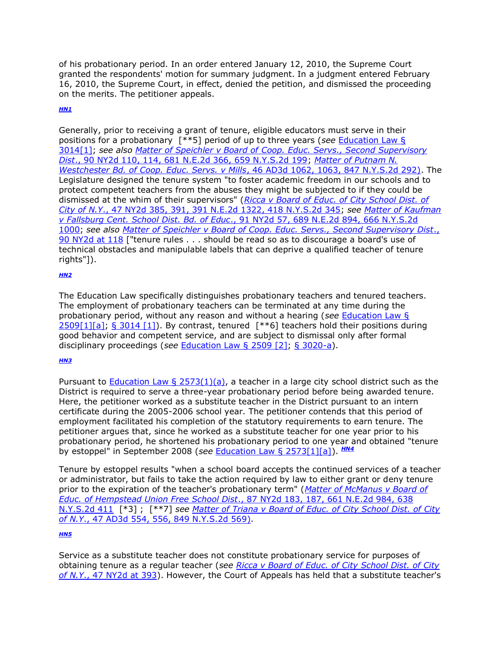of his probationary period. In an order entered January 12, 2010, the Supreme Court granted the respondents' motion for summary judgment. In a judgment entered February 16, 2010, the Supreme Court, in effect, denied the petition, and dismissed the proceeding on the merits. The petitioner appeals.

## *[HN1](http://www.lexisnexis.com.ezproxy.strose.edu/lnacui2api/frame.do?reloadEntirePage=true&rand=1310415248469&returnToKey=20_T12329573738&parent=docview&target=results_DocumentContent&tokenKey=rsh-20.832219.9355148397#clscc1)*

Generally, prior to receiving a grant of tenure, eligible educators must serve in their positions for a probationary [\*\*5] period of up to three years (*see* [Education Law §](http://www.lexisnexis.com.ezproxy.strose.edu/lnacui2api/mungo/lexseestat.do?bct=A&risb=21_T12329555026&homeCsi=9092&A=0.5820858718051269&urlEnc=ISO-8859-1&&citeString=N.Y.%20EDUC.%20LAW%203014&countryCode=USA)  [3014\[1\];](http://www.lexisnexis.com.ezproxy.strose.edu/lnacui2api/mungo/lexseestat.do?bct=A&risb=21_T12329555026&homeCsi=9092&A=0.5820858718051269&urlEnc=ISO-8859-1&&citeString=N.Y.%20EDUC.%20LAW%203014&countryCode=USA) *see also [Matter of Speichler v Board of Coop. Educ. Servs., Second Supervisory](http://www.lexisnexis.com.ezproxy.strose.edu/lnacui2api/mungo/lexseestat.do?bct=A&risb=21_T12329555026&homeCsi=9092&A=0.5820858718051269&urlEnc=ISO-8859-1&&citeString=90%20N.Y.2d%20110,%20114&countryCode=USA)  Dist*[., 90 NY2d 110, 114, 681 N.E.2d 366, 659 N.Y.S.2d 199;](http://www.lexisnexis.com.ezproxy.strose.edu/lnacui2api/mungo/lexseestat.do?bct=A&risb=21_T12329555026&homeCsi=9092&A=0.5820858718051269&urlEnc=ISO-8859-1&&citeString=90%20N.Y.2d%20110,%20114&countryCode=USA) *[Matter of Putnam N.](http://www.lexisnexis.com.ezproxy.strose.edu/lnacui2api/mungo/lexseestat.do?bct=A&risb=21_T12329555026&homeCsi=9092&A=0.5820858718051269&urlEnc=ISO-8859-1&&citeString=46%20A.D.3d%201062,%201063&countryCode=USA)  [Westchester Bd. of Coop. Educ. Servs. v Mills](http://www.lexisnexis.com.ezproxy.strose.edu/lnacui2api/mungo/lexseestat.do?bct=A&risb=21_T12329555026&homeCsi=9092&A=0.5820858718051269&urlEnc=ISO-8859-1&&citeString=46%20A.D.3d%201062,%201063&countryCode=USA)*, 46 AD3d 1062, 1063, 847 N.Y.S.2d 292). The Legislature designed the tenure system "to foster academic freedom in our schools and to protect competent teachers from the abuses they might be subjected to if they could be dismissed at the whim of their supervisors" (*[Ricca v Board of Educ. of City School Dist. of](http://www.lexisnexis.com.ezproxy.strose.edu/lnacui2api/mungo/lexseestat.do?bct=A&risb=21_T12329555026&homeCsi=9092&A=0.5820858718051269&urlEnc=ISO-8859-1&&citeString=47%20N.Y.2d%20385,%20391&countryCode=USA)  City of N.Y*[., 47 NY2d 385, 391, 391 N.E.2d 1322, 418 N.Y.S.2d 345;](http://www.lexisnexis.com.ezproxy.strose.edu/lnacui2api/mungo/lexseestat.do?bct=A&risb=21_T12329555026&homeCsi=9092&A=0.5820858718051269&urlEnc=ISO-8859-1&&citeString=47%20N.Y.2d%20385,%20391&countryCode=USA) *see [Matter of Kaufman](http://www.lexisnexis.com.ezproxy.strose.edu/lnacui2api/mungo/lexseestat.do?bct=A&risb=21_T12329555026&homeCsi=9092&A=0.5820858718051269&urlEnc=ISO-8859-1&&citeString=91%20N.Y.2d%2057&countryCode=USA)  v Fallsburg Cent. School Dist. Bd. of Educ*[., 91 NY2d 57, 689 N.E.2d 894, 666 N.Y.S.2d](http://www.lexisnexis.com.ezproxy.strose.edu/lnacui2api/mungo/lexseestat.do?bct=A&risb=21_T12329555026&homeCsi=9092&A=0.5820858718051269&urlEnc=ISO-8859-1&&citeString=91%20N.Y.2d%2057&countryCode=USA)  [1000;](http://www.lexisnexis.com.ezproxy.strose.edu/lnacui2api/mungo/lexseestat.do?bct=A&risb=21_T12329555026&homeCsi=9092&A=0.5820858718051269&urlEnc=ISO-8859-1&&citeString=91%20N.Y.2d%2057&countryCode=USA) *see also [Matter of Speichler v Board of Coop. Educ. Servs., Second Supervisory Dist](http://www.lexisnexis.com.ezproxy.strose.edu/lnacui2api/mungo/lexseestat.do?bct=A&risb=21_T12329555026&homeCsi=9092&A=0.5820858718051269&urlEnc=ISO-8859-1&&citeString=90%20N.Y.2d%20110,%20118&countryCode=USA)*., [90 NY2d at 118](http://www.lexisnexis.com.ezproxy.strose.edu/lnacui2api/mungo/lexseestat.do?bct=A&risb=21_T12329555026&homeCsi=9092&A=0.5820858718051269&urlEnc=ISO-8859-1&&citeString=90%20N.Y.2d%20110,%20118&countryCode=USA) ["tenure rules . . . should be read so as to discourage a board's use of technical obstacles and manipulable labels that can deprive a qualified teacher of tenure rights"]).

### *[HN2](http://www.lexisnexis.com.ezproxy.strose.edu/lnacui2api/frame.do?reloadEntirePage=true&rand=1310415248469&returnToKey=20_T12329573738&parent=docview&target=results_DocumentContent&tokenKey=rsh-20.832219.9355148397#clscc2)*

The Education Law specifically distinguishes probationary teachers and tenured teachers. The employment of probationary teachers can be terminated at any time during the probationary period, without any reason and without a hearing (*see* [Education Law §](http://www.lexisnexis.com.ezproxy.strose.edu/lnacui2api/mungo/lexseestat.do?bct=A&risb=21_T12329555026&homeCsi=9092&A=0.5820858718051269&urlEnc=ISO-8859-1&&citeString=N.Y.%20EDUC.%20LAW%202509&countryCode=USA)  [2509\[1\]\[a\];](http://www.lexisnexis.com.ezproxy.strose.edu/lnacui2api/mungo/lexseestat.do?bct=A&risb=21_T12329555026&homeCsi=9092&A=0.5820858718051269&urlEnc=ISO-8859-1&&citeString=N.Y.%20EDUC.%20LAW%202509&countryCode=USA) [§ 3014 \[1\]\)](http://www.lexisnexis.com.ezproxy.strose.edu/lnacui2api/mungo/lexseestat.do?bct=A&risb=21_T12329555026&homeCsi=9092&A=0.5820858718051269&urlEnc=ISO-8859-1&&citeString=N.Y.%20EDUC.%20LAW%203014&countryCode=USA). By contrast, tenured [\*\*6] teachers hold their positions during good behavior and competent service, and are subject to dismissal only after formal disciplinary proceedings (*see* [Education Law § 2509 \[2\];](http://www.lexisnexis.com.ezproxy.strose.edu/lnacui2api/mungo/lexseestat.do?bct=A&risb=21_T12329555026&homeCsi=9092&A=0.5820858718051269&urlEnc=ISO-8859-1&&citeString=N.Y.%20EDUC.%20LAW%202509&countryCode=USA) [§ 3020-a\)](http://www.lexisnexis.com.ezproxy.strose.edu/lnacui2api/mungo/lexseestat.do?bct=A&risb=21_T12329555026&homeCsi=9092&A=0.5820858718051269&urlEnc=ISO-8859-1&&citeString=N.Y.%20EDUC.%20LAW%203020-A&countryCode=USA).

### *[HN3](http://www.lexisnexis.com.ezproxy.strose.edu/lnacui2api/frame.do?reloadEntirePage=true&rand=1310415248469&returnToKey=20_T12329573738&parent=docview&target=results_DocumentContent&tokenKey=rsh-20.832219.9355148397#clscc3)*

Pursuant to Education Law  $\S$  2573(1)(a), a teacher in a large city school district such as the District is required to serve a three-year probationary period before being awarded tenure. Here, the petitioner worked as a substitute teacher in the District pursuant to an intern certificate during the 2005-2006 school year. The petitioner contends that this period of employment facilitated his completion of the statutory requirements to earn tenure. The petitioner argues that, since he worked as a substitute teacher for one year prior to his probationary period, he shortened his probationary period to one year and obtained "tenure by estoppel" in September 2008 (*see* [Education Law § 2573\[1\]\[a\]\)](http://www.lexisnexis.com.ezproxy.strose.edu/lnacui2api/mungo/lexseestat.do?bct=A&risb=21_T12329555026&homeCsi=9092&A=0.5820858718051269&urlEnc=ISO-8859-1&&citeString=N.Y.%20EDUC.%20LAW%202573&countryCode=USA). *[HN4](http://www.lexisnexis.com.ezproxy.strose.edu/lnacui2api/frame.do?reloadEntirePage=true&rand=1310415248469&returnToKey=20_T12329573738&parent=docview&target=results_DocumentContent&tokenKey=rsh-20.832219.9355148397#clscc4)*

Tenure by estoppel results "when a school board accepts the continued services of a teacher or administrator, but fails to take the action required by law to either grant or deny tenure prior to the expiration of the teacher's probationary term" (*[Matter of McManus v Board of](http://www.lexisnexis.com.ezproxy.strose.edu/lnacui2api/mungo/lexseestat.do?bct=A&risb=21_T12329555026&homeCsi=9092&A=0.5820858718051269&urlEnc=ISO-8859-1&&citeString=87%20N.Y.2d%20183,%20187&countryCode=USA)  [Educ. of Hempstead Union Free School Dist](http://www.lexisnexis.com.ezproxy.strose.edu/lnacui2api/mungo/lexseestat.do?bct=A&risb=21_T12329555026&homeCsi=9092&A=0.5820858718051269&urlEnc=ISO-8859-1&&citeString=87%20N.Y.2d%20183,%20187&countryCode=USA)*., 87 NY2d 183, 187, 661 N.E.2d 984, 638 [N.Y.S.2d 411](http://www.lexisnexis.com.ezproxy.strose.edu/lnacui2api/mungo/lexseestat.do?bct=A&risb=21_T12329555026&homeCsi=9092&A=0.5820858718051269&urlEnc=ISO-8859-1&&citeString=87%20N.Y.2d%20183,%20187&countryCode=USA) [\*3] ; [\*\*7] *see [Matter of Triana v Board of Educ. of City School Dist. of City](http://www.lexisnexis.com.ezproxy.strose.edu/lnacui2api/mungo/lexseestat.do?bct=A&risb=21_T12329555026&homeCsi=9092&A=0.5820858718051269&urlEnc=ISO-8859-1&&citeString=47%20A.D.3d%20554,%20556&countryCode=USA)  of N.Y*[., 47 AD3d 554, 556, 849 N.Y.S.2d 569\).](http://www.lexisnexis.com.ezproxy.strose.edu/lnacui2api/mungo/lexseestat.do?bct=A&risb=21_T12329555026&homeCsi=9092&A=0.5820858718051269&urlEnc=ISO-8859-1&&citeString=47%20A.D.3d%20554,%20556&countryCode=USA)

### *[HN5](http://www.lexisnexis.com.ezproxy.strose.edu/lnacui2api/frame.do?reloadEntirePage=true&rand=1310415248469&returnToKey=20_T12329573738&parent=docview&target=results_DocumentContent&tokenKey=rsh-20.832219.9355148397#clscc5)*

Service as a substitute teacher does not constitute probationary service for purposes of obtaining tenure as a regular teacher (*see [Ricca v Board of Educ. of City School Dist. of City](http://www.lexisnexis.com.ezproxy.strose.edu/lnacui2api/mungo/lexseestat.do?bct=A&risb=21_T12329555026&homeCsi=9092&A=0.5820858718051269&urlEnc=ISO-8859-1&&citeString=47%20N.Y.2d%20385,%20393&countryCode=USA)  of N.Y*[., 47 NY2d at 393\)](http://www.lexisnexis.com.ezproxy.strose.edu/lnacui2api/mungo/lexseestat.do?bct=A&risb=21_T12329555026&homeCsi=9092&A=0.5820858718051269&urlEnc=ISO-8859-1&&citeString=47%20N.Y.2d%20385,%20393&countryCode=USA). However, the Court of Appeals has held that a substitute teacher's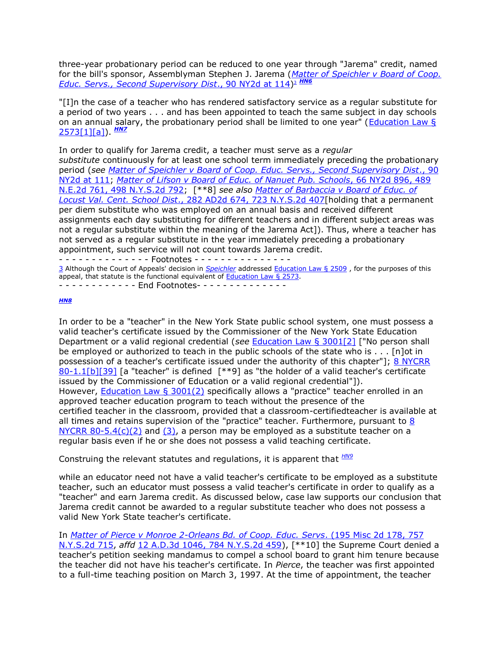three-year probationary period can be reduced to one year through "Jarema" credit, named for the bill's sponsor, Assemblyman Stephen J. Jarema (*[Matter of Speichler v Board of Coop.](http://www.lexisnexis.com.ezproxy.strose.edu/lnacui2api/mungo/lexseestat.do?bct=A&risb=21_T12329555026&homeCsi=9092&A=0.5820858718051269&urlEnc=ISO-8859-1&&citeString=90%20N.Y.2d%20110,%20114&countryCode=USA)  [Educ. Servs., Second Supervisory Dist](http://www.lexisnexis.com.ezproxy.strose.edu/lnacui2api/mungo/lexseestat.do?bct=A&risb=21_T12329555026&homeCsi=9092&A=0.5820858718051269&urlEnc=ISO-8859-1&&citeString=90%20N.Y.2d%20110,%20114&countryCode=USA)*., 90 NY2d at 114[\)](http://www.lexisnexis.com.ezproxy.strose.edu/lnacui2api/frame.do?reloadEntirePage=true&rand=1310415248469&returnToKey=20_T12329573738&parent=docview&target=results_DocumentContent&tokenKey=rsh-20.832219.9355148397#fnote3) <sup>3</sup> *[HN6](http://www.lexisnexis.com.ezproxy.strose.edu/lnacui2api/frame.do?reloadEntirePage=true&rand=1310415248469&returnToKey=20_T12329573738&parent=docview&target=results_DocumentContent&tokenKey=rsh-20.832219.9355148397#clscc6)*

"[I]n the case of a teacher who has rendered satisfactory service as a regular substitute for a period of two years . . . and has been appointed to teach the same subject in day schools on an annual salary, the probationary period shall be limited to one year" [\(Education Law §](http://www.lexisnexis.com.ezproxy.strose.edu/lnacui2api/mungo/lexseestat.do?bct=A&risb=21_T12329555026&homeCsi=9092&A=0.5820858718051269&urlEnc=ISO-8859-1&&citeString=N.Y.%20EDUC.%20LAW%202573&countryCode=USA)  [2573\[1\]\[a\]\)](http://www.lexisnexis.com.ezproxy.strose.edu/lnacui2api/mungo/lexseestat.do?bct=A&risb=21_T12329555026&homeCsi=9092&A=0.5820858718051269&urlEnc=ISO-8859-1&&citeString=N.Y.%20EDUC.%20LAW%202573&countryCode=USA). *[HN7](http://www.lexisnexis.com.ezproxy.strose.edu/lnacui2api/frame.do?reloadEntirePage=true&rand=1310415248469&returnToKey=20_T12329573738&parent=docview&target=results_DocumentContent&tokenKey=rsh-20.832219.9355148397#clscc7)*

In order to qualify for Jarema credit, a teacher must serve as a *regular substitute* continuously for at least one school term immediately preceding the probationary period (*see [Matter of Speichler v Board of Coop. Educ. Servs., Second Supervisory Dist](http://www.lexisnexis.com.ezproxy.strose.edu/lnacui2api/mungo/lexseestat.do?bct=A&risb=21_T12329555026&homeCsi=9092&A=0.5820858718051269&urlEnc=ISO-8859-1&&citeString=90%20N.Y.2d%20110,%20111&countryCode=USA)*., 90 [NY2d at 111;](http://www.lexisnexis.com.ezproxy.strose.edu/lnacui2api/mungo/lexseestat.do?bct=A&risb=21_T12329555026&homeCsi=9092&A=0.5820858718051269&urlEnc=ISO-8859-1&&citeString=90%20N.Y.2d%20110,%20111&countryCode=USA) *[Matter of Lifson v Board of Educ. of Nanuet Pub. Schools](http://www.lexisnexis.com.ezproxy.strose.edu/lnacui2api/mungo/lexseestat.do?bct=A&risb=21_T12329555026&homeCsi=9092&A=0.5820858718051269&urlEnc=ISO-8859-1&&citeString=66%20N.Y.2d%20896&countryCode=USA)*, 66 NY2d 896, 489 [N.E.2d 761, 498 N.Y.S.2d 792;](http://www.lexisnexis.com.ezproxy.strose.edu/lnacui2api/mungo/lexseestat.do?bct=A&risb=21_T12329555026&homeCsi=9092&A=0.5820858718051269&urlEnc=ISO-8859-1&&citeString=66%20N.Y.2d%20896&countryCode=USA) [\*\*8] *see also [Matter of Barbaccia v Board of Educ. of](http://www.lexisnexis.com.ezproxy.strose.edu/lnacui2api/mungo/lexseestat.do?bct=A&risb=21_T12329555026&homeCsi=9092&A=0.5820858718051269&urlEnc=ISO-8859-1&&citeString=282%20A.D.2d%20674&countryCode=USA)  Locust Val. Cent. School Dist*[., 282 AD2d 674, 723 N.Y.S.2d 407\[](http://www.lexisnexis.com.ezproxy.strose.edu/lnacui2api/mungo/lexseestat.do?bct=A&risb=21_T12329555026&homeCsi=9092&A=0.5820858718051269&urlEnc=ISO-8859-1&&citeString=282%20A.D.2d%20674&countryCode=USA)holding that a permanent per diem substitute who was employed on an annual basis and received different assignments each day substituting for different teachers and in different subject areas was not a regular substitute within the meaning of the Jarema Act]). Thus, where a teacher has not served as a regular substitute in the year immediately preceding a probationary appointment, such service will not count towards Jarema credit.

- - - - - - - - - - - - - - Footnotes - - - - - - - - - - - - - - - [3](http://www.lexisnexis.com.ezproxy.strose.edu/lnacui2api/frame.do?reloadEntirePage=true&rand=1310415248469&returnToKey=20_T12329573738&parent=docview&target=results_DocumentContent&tokenKey=rsh-20.832219.9355148397#ref3) Although the Court of Appeals' decision in *[Speichler](http://www.lexisnexis.com.ezproxy.strose.edu/lnacui2api/mungo/lexseestat.do?bct=A&risb=21_T12329555026&homeCsi=9092&A=0.5820858718051269&urlEnc=ISO-8859-1&&citeString=90%20N.Y.2d%20110&countryCode=USA)* addressed [Education Law § 2509](http://www.lexisnexis.com.ezproxy.strose.edu/lnacui2api/mungo/lexseestat.do?bct=A&risb=21_T12329555026&homeCsi=9092&A=0.5820858718051269&urlEnc=ISO-8859-1&&citeString=N.Y.%20EDUC.%20LAW%202509&countryCode=USA) , for the purposes of this appeal, that statute is the functional equivalent of [Education Law § 2573.](http://www.lexisnexis.com.ezproxy.strose.edu/lnacui2api/mungo/lexseestat.do?bct=A&risb=21_T12329555026&homeCsi=9092&A=0.5820858718051269&urlEnc=ISO-8859-1&&citeString=N.Y.%20EDUC.%20LAW%202573&countryCode=USA) - - - - - - - - - - - - End Footnotes- - - - - - - - - - - - - -

#### *[HN8](http://www.lexisnexis.com.ezproxy.strose.edu/lnacui2api/frame.do?reloadEntirePage=true&rand=1310415248469&returnToKey=20_T12329573738&parent=docview&target=results_DocumentContent&tokenKey=rsh-20.832219.9355148397#clscc8)*

In order to be a "teacher" in the New York State public school system, one must possess a valid teacher's certificate issued by the Commissioner of the New York State Education Department or a valid regional credential (*see* [Education Law § 3001\[2\]](http://www.lexisnexis.com.ezproxy.strose.edu/lnacui2api/mungo/lexseestat.do?bct=A&risb=21_T12329555026&homeCsi=9092&A=0.5820858718051269&urlEnc=ISO-8859-1&&citeString=N.Y.%20EDUC.%20LAW%203001&countryCode=USA) ["No person shall be employed or authorized to teach in the public schools of the state who is . . . [n]ot in possession of a teacher's certificate issued under the authority of this chapter"]; 8 NYCRR  $80-1.1[b][39]$  [a "teacher" is defined  $[**9]$  as "the holder of a valid teacher's certificate issued by the Commissioner of Education or a valid regional credential"]). However, **[Education Law § 3001\(2\)](http://www.lexisnexis.com.ezproxy.strose.edu/lnacui2api/mungo/lexseestat.do?bct=A&risb=21_T12329555026&homeCsi=9092&A=0.5820858718051269&urlEnc=ISO-8859-1&&citeString=N.Y.%20EDUC.%20LAW%203001&countryCode=USA)** specifically allows a "practice" teacher enrolled in an approved teacher education program to teach without the presence of the certified teacher in the classroom, provided that a classroom-certifiedteacher is available at all times and retains supervision of the "practice" teacher. Furthermore, pursuant to [8](http://www.lexisnexis.com.ezproxy.strose.edu/lnacui2api/mungo/lexseestat.do?bct=A&risb=21_T12329555026&homeCsi=9092&A=0.5820858718051269&urlEnc=ISO-8859-1&&citeString=8%20N.Y.%20COMP.%20CODES%20R.%20REGS.%2080-5.4&countryCode=USA)  NYCRR  $80-5.4(c)(2)$  and  $(3)$ , a person may be employed as a substitute teacher on a regular basis even if he or she does not possess a valid teaching certificate.

Construing the relevant statutes and regulations, it is apparent that *[HN9](http://www.lexisnexis.com.ezproxy.strose.edu/lnacui2api/frame.do?reloadEntirePage=true&rand=1310415248469&returnToKey=20_T12329573738&parent=docview&target=results_DocumentContent&tokenKey=rsh-20.832219.9355148397#clscc9)* 

while an educator need not have a valid teacher's certificate to be employed as a substitute teacher, such an educator must possess a valid teacher's certificate in order to qualify as a "teacher" and earn Jarema credit. As discussed below, case law supports our conclusion that Jarema credit cannot be awarded to a regular substitute teacher who does not possess a valid New York State teacher's certificate.

In *[Matter of Pierce v Monroe 2-Orleans Bd. of Coop. Educ. Servs](http://www.lexisnexis.com.ezproxy.strose.edu/lnacui2api/mungo/lexseestat.do?bct=A&risb=21_T12329555026&homeCsi=9092&A=0.5820858718051269&urlEnc=ISO-8859-1&&citeString=195%20Misc.%202d%20178&countryCode=USA)*. (195 Misc 2d 178, 757 [N.Y.S.2d 715,](http://www.lexisnexis.com.ezproxy.strose.edu/lnacui2api/mungo/lexseestat.do?bct=A&risb=21_T12329555026&homeCsi=9092&A=0.5820858718051269&urlEnc=ISO-8859-1&&citeString=195%20Misc.%202d%20178&countryCode=USA) *affd* [12 A.D.3d 1046, 784 N.Y.S.2d 459\)](http://www.lexisnexis.com.ezproxy.strose.edu/lnacui2api/mungo/lexseestat.do?bct=A&risb=21_T12329555026&homeCsi=9092&A=0.5820858718051269&urlEnc=ISO-8859-1&&citeString=12%20A.D.3d%201046&countryCode=USA), [\*\*10] the Supreme Court denied a teacher's petition seeking mandamus to compel a school board to grant him tenure because the teacher did not have his teacher's certificate. In *Pierce*, the teacher was first appointed to a full-time teaching position on March 3, 1997. At the time of appointment, the teacher